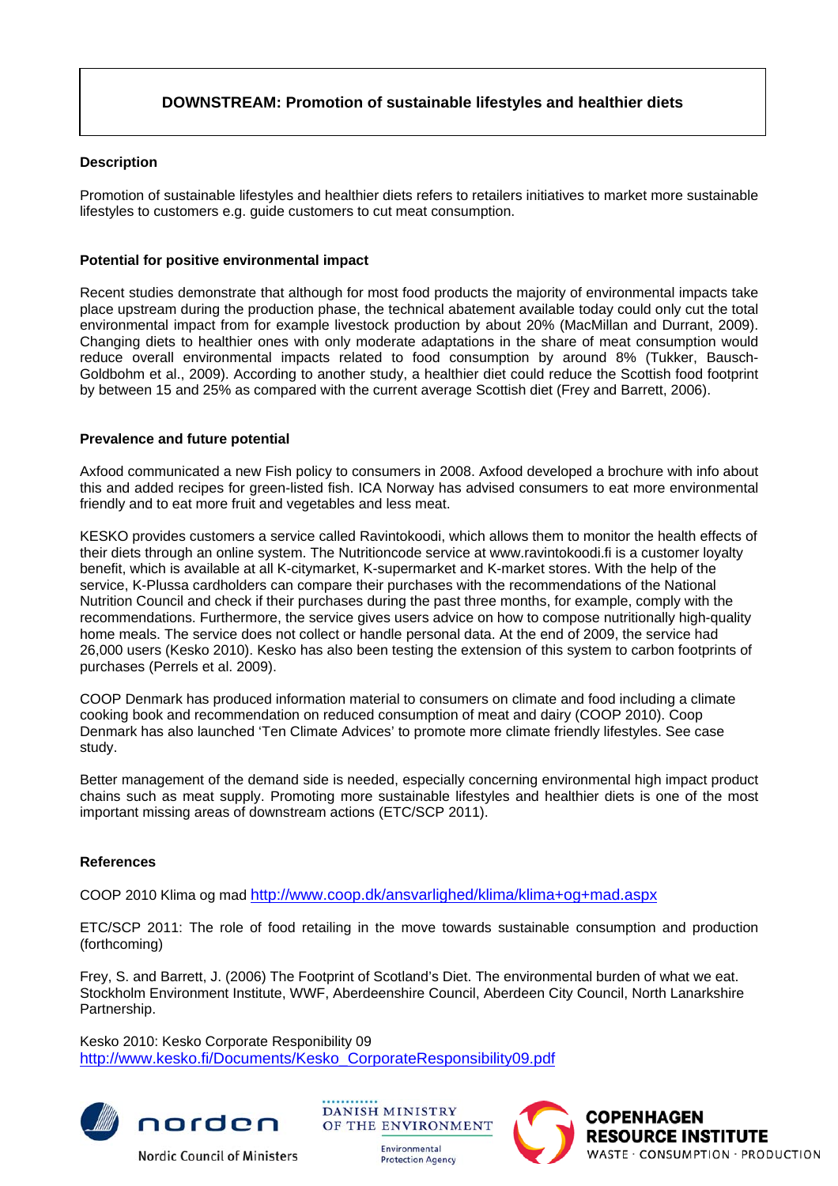# **DOWNSTREAM: Promotion of sustainable lifestyles and healthier diets**

## **Description**

Promotion of sustainable lifestyles and healthier diets refers to retailers initiatives to market more sustainable lifestyles to customers e.g. guide customers to cut meat consumption.

## **Potential for positive environmental impact**

Recent studies demonstrate that although for most food products the majority of environmental impacts take place upstream during the production phase, the technical abatement available today could only cut the total environmental impact from for example livestock production by about 20% (MacMillan and Durrant, 2009). Changing diets to healthier ones with only moderate adaptations in the share of meat consumption would reduce overall environmental impacts related to food consumption by around 8% (Tukker, Bausch-Goldbohm et al., 2009). According to another study, a healthier diet could reduce the Scottish food footprint by between 15 and 25% as compared with the current average Scottish diet (Frey and Barrett, 2006).

### **Prevalence and future potential**

Axfood communicated a new Fish policy to consumers in 2008. Axfood developed a brochure with info about this and added recipes for green-listed fish. ICA Norway has advised consumers to eat more environmental friendly and to eat more fruit and vegetables and less meat.

KESKO provides customers a service called Ravintokoodi, which allows them to monitor the health effects of their diets through an online system. The Nutritioncode service at www.ravintokoodi.fi is a customer loyalty benefit, which is available at all K-citymarket, K-supermarket and K-market stores. With the help of the service, K-Plussa cardholders can compare their purchases with the recommendations of the National Nutrition Council and check if their purchases during the past three months, for example, comply with the recommendations. Furthermore, the service gives users advice on how to compose nutritionally high-quality home meals. The service does not collect or handle personal data. At the end of 2009, the service had 26,000 users (Kesko 2010). Kesko has also been testing the extension of this system to carbon footprints of purchases (Perrels et al. 2009).

COOP Denmark has produced information material to consumers on climate and food including a climate cooking book and recommendation on reduced consumption of meat and dairy (COOP 2010). Coop Denmark has also launched 'Ten Climate Advices' to promote more climate friendly lifestyles. See case study.

Better management of the demand side is needed, especially concerning environmental high impact product chains such as meat supply. Promoting more sustainable lifestyles and healthier diets is one of the most important missing areas of downstream actions (ETC/SCP 2011).

### **References**

COOP 2010 Klima og mad<http://www.coop.dk/ansvarlighed/klima/klima+og+mad.aspx>

ETC/SCP 2011: The role of food retailing in the move towards sustainable consumption and production (forthcoming)

Frey, S. and Barrett, J. (2006) The Footprint of Scotland's Diet. The environmental burden of what we eat. Stockholm Environment Institute, WWF, Aberdeenshire Council, Aberdeen City Council, North Lanarkshire Partnership.

Kesko 2010: Kesko Corporate Responibility 09 [http://www.kesko.fi/Documents/Kesko\\_CorporateResponsibility09.pdf](http://www.kesko.fi/Documents/Kesko_CorporateResponsibility09.pdf)



**Nordic Council of Ministers** 



Environmental **Protection Agency**